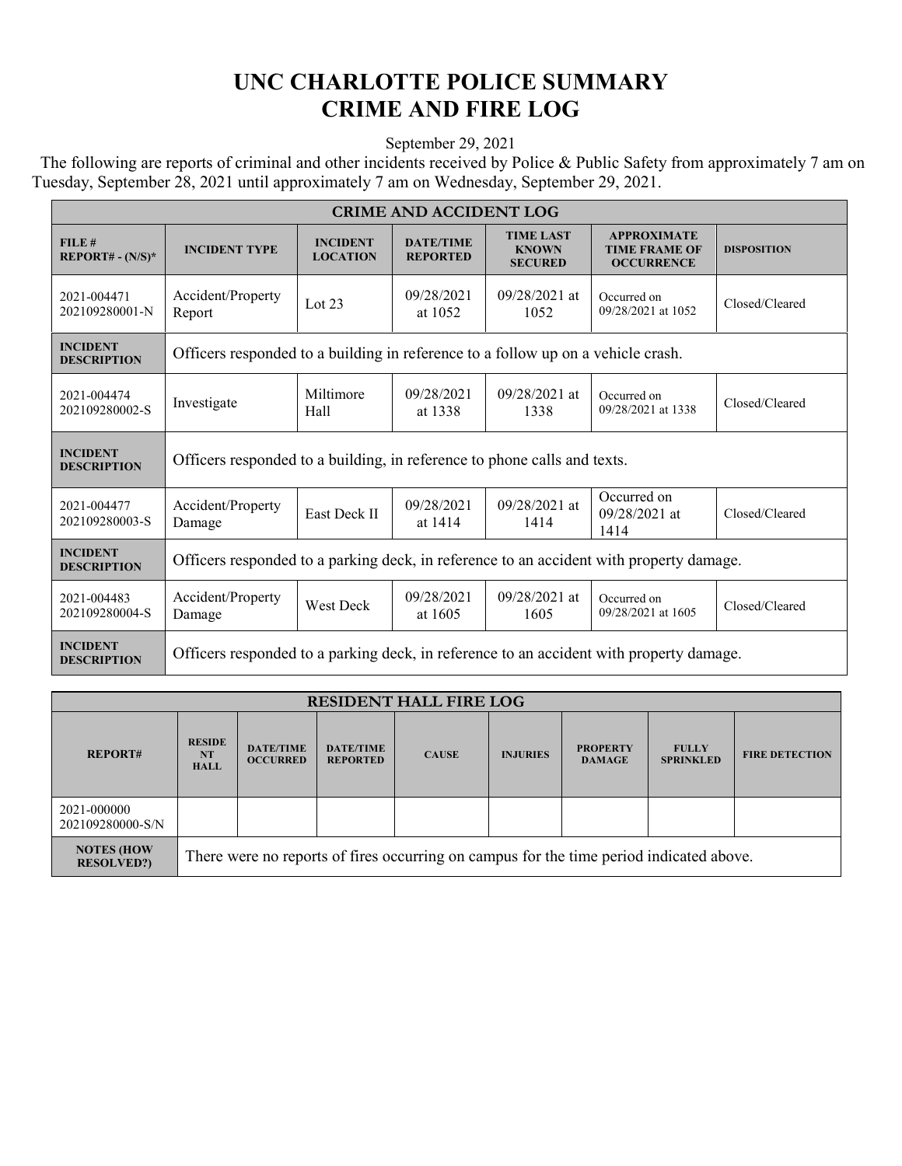## **UNC CHARLOTTE POLICE SUMMARY CRIME AND FIRE LOG**

September 29, 2021

 The following are reports of criminal and other incidents received by Police & Public Safety from approximately 7 am on Tuesday, September 28, 2021 until approximately 7 am on Wednesday, September 29, 2021.

| <b>CRIME AND ACCIDENT LOG</b>         |                                                                                         |                                    |                                                |                                                    |                                                                 |                    |  |  |
|---------------------------------------|-----------------------------------------------------------------------------------------|------------------------------------|------------------------------------------------|----------------------------------------------------|-----------------------------------------------------------------|--------------------|--|--|
| FILE#<br>$REPORT# - (N/S)*$           | <b>INCIDENT TYPE</b>                                                                    | <b>INCIDENT</b><br><b>LOCATION</b> | <b>DATE/TIME</b><br><b>REPORTED</b>            | <b>TIME LAST</b><br><b>KNOWN</b><br><b>SECURED</b> | <b>APPROXIMATE</b><br><b>TIME FRAME OF</b><br><b>OCCURRENCE</b> | <b>DISPOSITION</b> |  |  |
| 2021-004471<br>202109280001-N         | Accident/Property<br>Report                                                             | Lot $23$                           | 09/28/2021<br>at 1052                          | 09/28/2021 at<br>1052                              | Occurred on<br>09/28/2021 at 1052                               | Closed/Cleared     |  |  |
| <b>INCIDENT</b><br><b>DESCRIPTION</b> | Officers responded to a building in reference to a follow up on a vehicle crash.        |                                    |                                                |                                                    |                                                                 |                    |  |  |
| 2021-004474<br>202109280002-S         | Investigate                                                                             | Miltimore<br>Hall                  | 09/28/2021<br>at 1338                          | 09/28/2021 at<br>1338                              | Occurred on<br>09/28/2021 at 1338                               | Closed/Cleared     |  |  |
| <b>INCIDENT</b><br><b>DESCRIPTION</b> | Officers responded to a building, in reference to phone calls and texts.                |                                    |                                                |                                                    |                                                                 |                    |  |  |
| 2021-004477<br>202109280003-S         | Accident/Property<br>Damage                                                             | East Deck II                       | 09/28/2021 at<br>09/28/2021<br>at 1414<br>1414 |                                                    | Occurred on<br>$09/28/2021$ at<br>1414                          | Closed/Cleared     |  |  |
| <b>INCIDENT</b><br><b>DESCRIPTION</b> | Officers responded to a parking deck, in reference to an accident with property damage. |                                    |                                                |                                                    |                                                                 |                    |  |  |
| 2021-004483<br>202109280004-S         | Accident/Property<br>Damage                                                             | West Deck                          | 09/28/2021<br>at 1605                          | $09/28/2021$ at<br>1605                            | Occurred on<br>09/28/2021 at 1605                               | Closed/Cleared     |  |  |
| <b>INCIDENT</b><br><b>DESCRIPTION</b> | Officers responded to a parking deck, in reference to an accident with property damage. |                                    |                                                |                                                    |                                                                 |                    |  |  |

| <b>RESIDENT HALL FIRE LOG</b>          |                                                                                         |                                     |                                     |              |                 |                                  |                                  |                       |
|----------------------------------------|-----------------------------------------------------------------------------------------|-------------------------------------|-------------------------------------|--------------|-----------------|----------------------------------|----------------------------------|-----------------------|
| <b>REPORT#</b>                         | <b>RESIDE</b><br><b>NT</b><br><b>HALL</b>                                               | <b>DATE/TIME</b><br><b>OCCURRED</b> | <b>DATE/TIME</b><br><b>REPORTED</b> | <b>CAUSE</b> | <b>INJURIES</b> | <b>PROPERTY</b><br><b>DAMAGE</b> | <b>FULLY</b><br><b>SPRINKLED</b> | <b>FIRE DETECTION</b> |
| 2021-000000<br>202109280000-S/N        |                                                                                         |                                     |                                     |              |                 |                                  |                                  |                       |
| <b>NOTES (HOW</b><br><b>RESOLVED?)</b> | There were no reports of fires occurring on campus for the time period indicated above. |                                     |                                     |              |                 |                                  |                                  |                       |